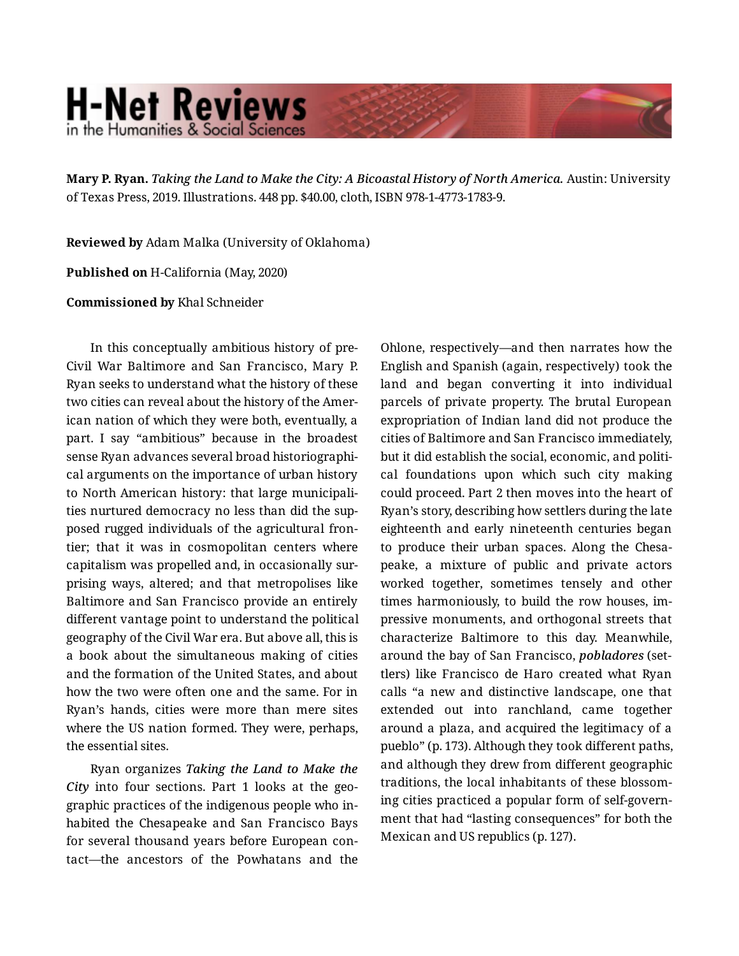## **H-Net Reviews** in the Humanities & Social Scienc

**Mary P. Ryan.** *Taking the Land to Make the City: A Bicoastal History of North America.* Austin: University of Texas Press, 2019. Illustrations. 448 pp. \$40.00, cloth, ISBN 978-1-4773-1783-9.

**Reviewed by** Adam Malka (University of Oklahoma)

**Published on** H-California (May, 2020)

**Commissioned by** Khal Schneider

In this conceptually ambitious history of pre-Civil War Baltimore and San Francisco, Mary P. Ryan seeks to understand what the history of these two cities can reveal about the history of the American nation of which they were both, eventually, a part. I say "ambitious" because in the broadest sense Ryan advances several broad historiographi‐ cal arguments on the importance of urban history to North American history: that large municipali‐ ties nurtured democracy no less than did the sup‐ posed rugged individuals of the agricultural fron‐ tier; that it was in cosmopolitan centers where capitalism was propelled and, in occasionally sur‐ prising ways, altered; and that metropolises like Baltimore and San Francisco provide an entirely different vantage point to understand the political geography of the Civil War era. But above all, this is a book about the simultaneous making of cities and the formation of the United States, and about how the two were often one and the same. For in Ryan's hands, cities were more than mere sites where the US nation formed. They were, perhaps, the essential sites.

Ryan organizes *Taking the Land to Make the City* into four sections. Part 1 looks at the geo‐ graphic practices of the indigenous people who in‐ habited the Chesapeake and San Francisco Bays for several thousand years before European con‐ tact—the ancestors of the Powhatans and the Ohlone, respectively—and then narrates how the English and Spanish (again, respectively) took the land and began converting it into individual parcels of private property. The brutal European expropriation of Indian land did not produce the cities of Baltimore and San Francisco immediately, but it did establish the social, economic, and politi‐ cal foundations upon which such city making could proceed. Part 2 then moves into the heart of Ryan's story, describing how settlers during the late eighteenth and early nineteenth centuries began to produce their urban spaces. Along the Chesa‐ peake, a mixture of public and private actors worked together, sometimes tensely and other times harmoniously, to build the row houses, im‐ pressive monuments, and orthogonal streets that characterize Baltimore to this day. Meanwhile, around the bay of San Francisco, *pobladores* (set‐ tlers) like Francisco de Haro created what Ryan calls "a new and distinctive landscape, one that extended out into ranchland, came together around a plaza, and acquired the legitimacy of a pueblo" (p. 173). Although they took different paths, and although they drew from different geographic traditions, the local inhabitants of these blossom‐ ing cities practiced a popular form of self-govern‐ ment that had "lasting consequences" for both the Mexican and US republics (p. 127).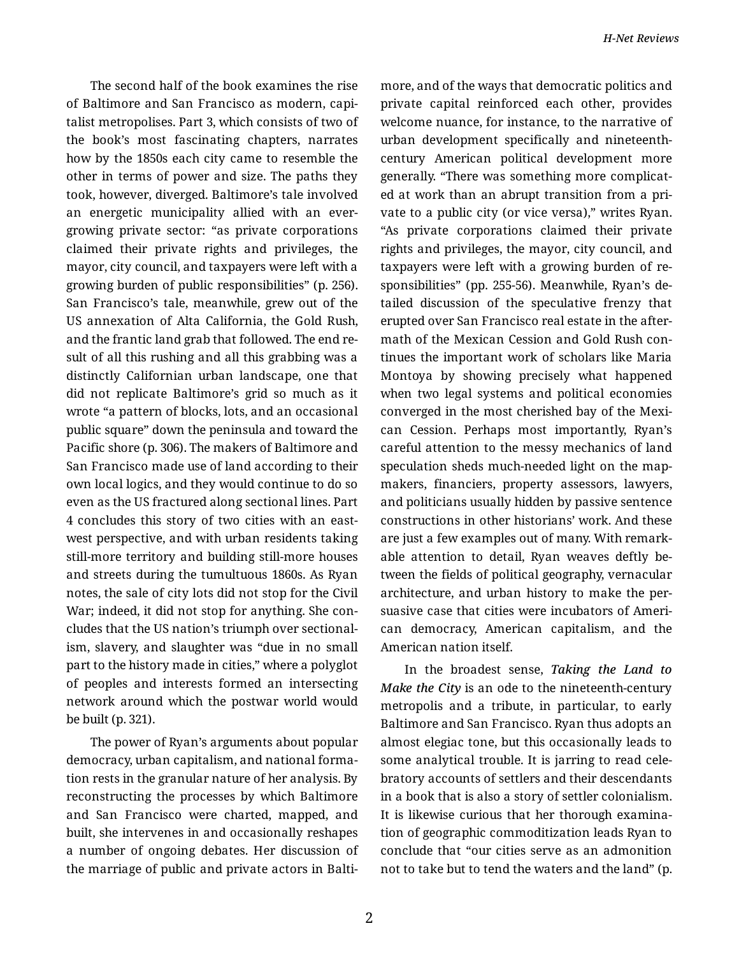The second half of the book examines the rise of Baltimore and San Francisco as modern, capi‐ talist metropolises. Part 3, which consists of two of the book's most fascinating chapters, narrates how by the 1850s each city came to resemble the other in terms of power and size. The paths they took, however, diverged. Baltimore's tale involved an energetic municipality allied with an evergrowing private sector: "as private corporations claimed their private rights and privileges, the mayor, city council, and taxpayers were left with a growing burden of public responsibilities" (p. 256). San Francisco's tale, meanwhile, grew out of the US annexation of Alta California, the Gold Rush, and the frantic land grab that followed. The end re‐ sult of all this rushing and all this grabbing was a distinctly Californian urban landscape, one that did not replicate Baltimore's grid so much as it wrote "a pattern of blocks, lots, and an occasional public square" down the peninsula and toward the Pacific shore (p. 306). The makers of Baltimore and San Francisco made use of land according to their own local logics, and they would continue to do so even as the US fractured along sectional lines. Part 4 concludes this story of two cities with an eastwest perspective, and with urban residents taking still-more territory and building still-more houses and streets during the tumultuous 1860s. As Ryan notes, the sale of city lots did not stop for the Civil War; indeed, it did not stop for anything. She con‐ cludes that the US nation's triumph over sectional‐ ism, slavery, and slaughter was "due in no small part to the history made in cities," where a polyglot of peoples and interests formed an intersecting network around which the postwar world would be built (p. 321).

The power of Ryan's arguments about popular democracy, urban capitalism, and national forma‐ tion rests in the granular nature of her analysis. By reconstructing the processes by which Baltimore and San Francisco were charted, mapped, and built, she intervenes in and occasionally reshapes a number of ongoing debates. Her discussion of the marriage of public and private actors in Balti‐ more, and of the ways that democratic politics and private capital reinforced each other, provides welcome nuance, for instance, to the narrative of urban development specifically and nineteenthcentury American political development more generally. "There was something more complicat‐ ed at work than an abrupt transition from a pri‐ vate to a public city (or vice versa)," writes Ryan. "As private corporations claimed their private rights and privileges, the mayor, city council, and taxpayers were left with a growing burden of re‐ sponsibilities" (pp. 255-56). Meanwhile, Ryan's de‐ tailed discussion of the speculative frenzy that erupted over San Francisco real estate in the after‐ math of the Mexican Cession and Gold Rush con‐ tinues the important work of scholars like Maria Montoya by showing precisely what happened when two legal systems and political economies converged in the most cherished bay of the Mexi‐ can Cession. Perhaps most importantly, Ryan's careful attention to the messy mechanics of land speculation sheds much-needed light on the mapmakers, financiers, property assessors, lawyers, and politicians usually hidden by passive sentence constructions in other historians' work. And these are just a few examples out of many. With remark‐ able attention to detail, Ryan weaves deftly be‐ tween the fields of political geography, vernacular architecture, and urban history to make the per‐ suasive case that cities were incubators of Ameri‐ can democracy, American capitalism, and the American nation itself.

In the broadest sense, *Taking the Land to Make the City* is an ode to the nineteenth-century metropolis and a tribute, in particular, to early Baltimore and San Francisco. Ryan thus adopts an almost elegiac tone, but this occasionally leads to some analytical trouble. It is jarring to read cele‐ bratory accounts of settlers and their descendants in a book that is also a story of settler colonialism. It is likewise curious that her thorough examina‐ tion of geographic commoditization leads Ryan to conclude that "our cities serve as an admonition not to take but to tend the waters and the land" (p.

2